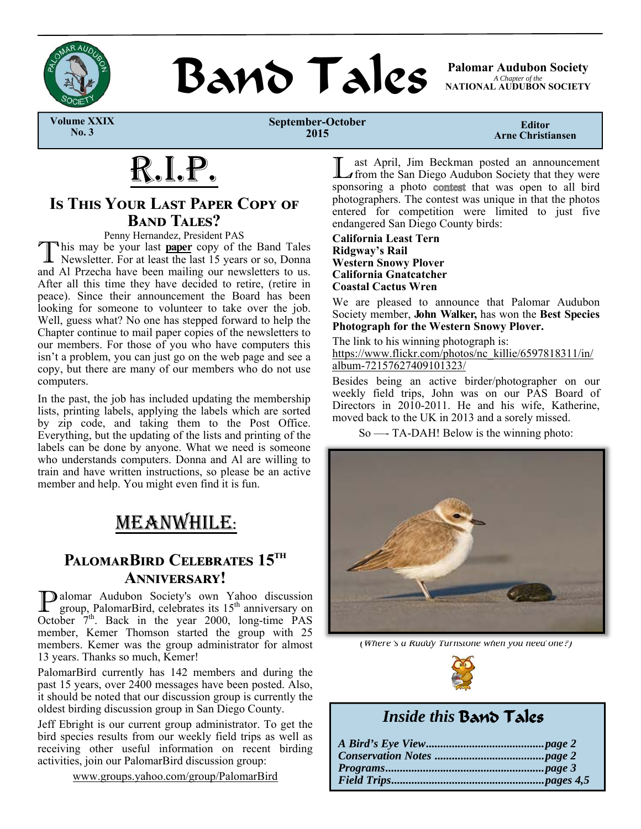

**BAND TAILS** Palomar Audubon Society

*A Chapter of the*  **NATIONAL AUDUBON SOCIETY** 

 **Volume XXIX No. 3** 

**September-October 2015** 

**Editor Arne Christiansen** 

# R.I.P.

### **IS THIS YOUR LAST PAPER COPY OF BAND TALES?**

Penny Hernandez, President PAS<br>
This may be your last **paper** copy of the Band Tales This may be your last **paper** copy of the Band Tales Newsletter. For at least the last 15 years or so, Donna and Al Przecha have been mailing our newsletters to us. After all this time they have decided to retire, (retire in peace). Since their announcement the Board has been looking for someone to volunteer to take over the job. Well, guess what? No one has stepped forward to help the Chapter continue to mail paper copies of the newsletters to our members. For those of you who have computers this isn't a problem, you can just go on the web page and see a copy, but there are many of our members who do not use computers.

In the past, the job has included updating the membership lists, printing labels, applying the labels which are sorted by zip code, and taking them to the Post Office. Everything, but the updating of the lists and printing of the labels can be done by anyone. What we need is someone who understands computers. Donna and Al are willing to train and have written instructions, so please be an active member and help. You might even find it is fun.

# MEANWHILE:

### **PALOMARBIRD CELEBRATES 15<sup>TH</sup>** ANNIVERSARY!

**P** alomar Audubon Society's own Yahoo discussion group, PalomarBird, celebrates its  $15^{th}$  anniversary on October  $7<sup>th</sup>$ . Back in the year 2000, long-time PAS member, Kemer Thomson started the group with 25 members. Kemer was the group administrator for almost 13 years. Thanks so much, Kemer!

PalomarBird currently has 142 members and during the past 15 years, over 2400 messages have been posted. Also, it should be noted that our discussion group is currently the oldest birding discussion group in San Diego County.

Jeff Ebright is our current group administrator. To get the bird species results from our weekly field trips as well as receiving other useful information on recent birding activities, join our PalomarBird discussion group:

www.groups.yahoo.com/group/PalomarBird

L ast April, Jim Beckman posted an announcement from the San Diego Audubon Society that they were sponsoring a photo contest that was open to all bird photographers. The contest was unique in that the photos entered for competition were limited to just five endangered San Diego County birds:

**California Least Tern Ridgway's Rail Western Snowy Plover California Gnatcatcher Coastal Cactus Wren**

We are pleased to announce that Palomar Audubon Society member, **John Walker,** has won the **Best Species Photograph for the Western Snowy Plover.**

The link to his winning photograph is: https://www.flickr.com/photos/nc\_killie/6597818311/in/ album-72157627409101323/

Besides being an active birder/photographer on our weekly field trips, John was on our PAS Board of Directors in 2010-2011. He and his wife, Katherine, moved back to the UK in 2013 and a sorely missed.

So —- TA-DAH! Below is the winning photo:



*(Where's a Ruddy Turnstone when you need one?)* 



## *Inside this* Band Tales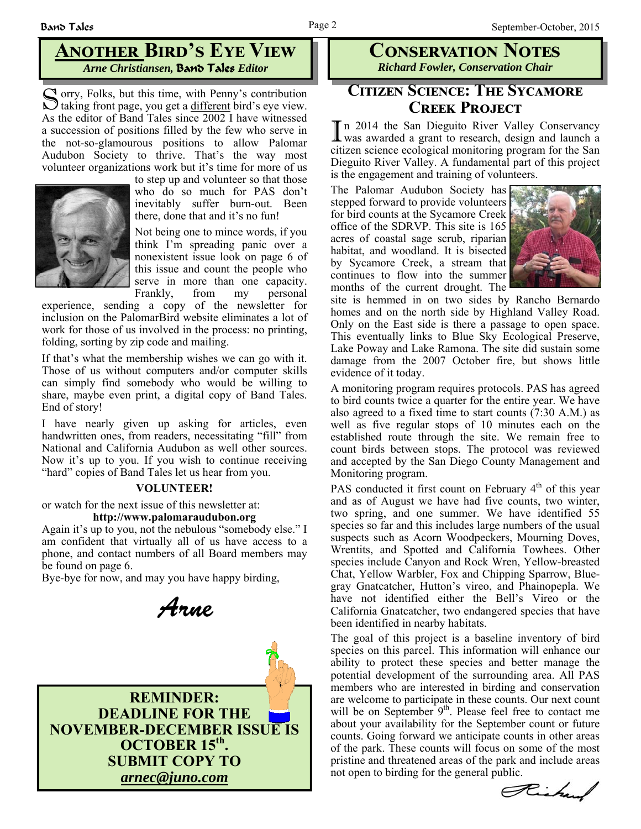### **ANOTHER BIRD'S EYE VIEW** *Arne Christiansen,* Band Tales *Editor*

S orry, Folks, but this time, with Penny's contribution taking front page, you get a different bird's eye view. As the editor of Band Tales since 2002 I have witnessed a succession of positions filled by the few who serve in the not-so-glamourous positions to allow Palomar Audubon Society to thrive. That's the way most volunteer organizations work but it's time for more of us



to step up and volunteer so that those who do so much for PAS don't inevitably suffer burn-out. Been there, done that and it's no fun!

Not being one to mince words, if you think I'm spreading panic over a nonexistent issue look on page 6 of this issue and count the people who serve in more than one capacity. Frankly, from my personal

experience, sending a copy of the newsletter for inclusion on the PalomarBird website eliminates a lot of work for those of us involved in the process: no printing, folding, sorting by zip code and mailing.

If that's what the membership wishes we can go with it. Those of us without computers and/or computer skills can simply find somebody who would be willing to share, maybe even print, a digital copy of Band Tales. End of story!

I have nearly given up asking for articles, even handwritten ones, from readers, necessitating "fill" from National and California Audubon as well other sources. Now it's up to you. If you wish to continue receiving "hard" copies of Band Tales let us hear from you.

#### **VOLUNTEER!**

or watch for the next issue of this newsletter at:

#### **http://www.palomaraudubon.org**

Again it's up to you, not the nebulous "somebody else." I am confident that virtually all of us have access to a phone, and contact numbers of all Board members may be found on page 6.

Bye-bye for now, and may you have happy birding,

Arne



### **CONSERVATION NOTES** *Richard Fowler, Conservation Chair*

### **CITIZEN SCIENCE: THE SYCAMORE CREEK PROJECT**

In 2014 the San Dieguito River Valley Conservancy was awarded a grant to research, design and launch a citizen science ecological monitoring program for the San Dieguito River Valley. A fundamental part of this project is the engagement and training of volunteers.

The Palomar Audubon Society has stepped forward to provide volunteers for bird counts at the Sycamore Creek office of the SDRVP. This site is 165 acres of coastal sage scrub, riparian habitat, and woodland. It is bisected by Sycamore Creek, a stream that continues to flow into the summer months of the current drought. The



site is hemmed in on two sides by Rancho Bernardo homes and on the north side by Highland Valley Road. Only on the East side is there a passage to open space. This eventually links to Blue Sky Ecological Preserve, Lake Poway and Lake Ramona. The site did sustain some damage from the 2007 October fire, but shows little evidence of it today.

A monitoring program requires protocols. PAS has agreed to bird counts twice a quarter for the entire year. We have also agreed to a fixed time to start counts (7:30 A.M.) as well as five regular stops of 10 minutes each on the established route through the site. We remain free to count birds between stops. The protocol was reviewed and accepted by the San Diego County Management and Monitoring program.

PAS conducted it first count on February  $4<sup>th</sup>$  of this year and as of August we have had five counts, two winter, two spring, and one summer. We have identified 55 species so far and this includes large numbers of the usual suspects such as Acorn Woodpeckers, Mourning Doves, Wrentits, and Spotted and California Towhees. Other species include Canyon and Rock Wren, Yellow-breasted Chat, Yellow Warbler, Fox and Chipping Sparrow, Bluegray Gnatcatcher, Hutton's vireo, and Phainopepla. We have not identified either the Bell's Vireo or the California Gnatcatcher, two endangered species that have been identified in nearby habitats.

The goal of this project is a baseline inventory of bird species on this parcel. This information will enhance our ability to protect these species and better manage the potential development of the surrounding area. All PAS members who are interested in birding and conservation are welcome to participate in these counts. Our next count will be on September  $9<sup>th</sup>$ . Please feel free to contact me about your availability for the September count or future counts. Going forward we anticipate counts in other areas of the park. These counts will focus on some of the most pristine and threatened areas of the park and include areas not open to birding for the general public.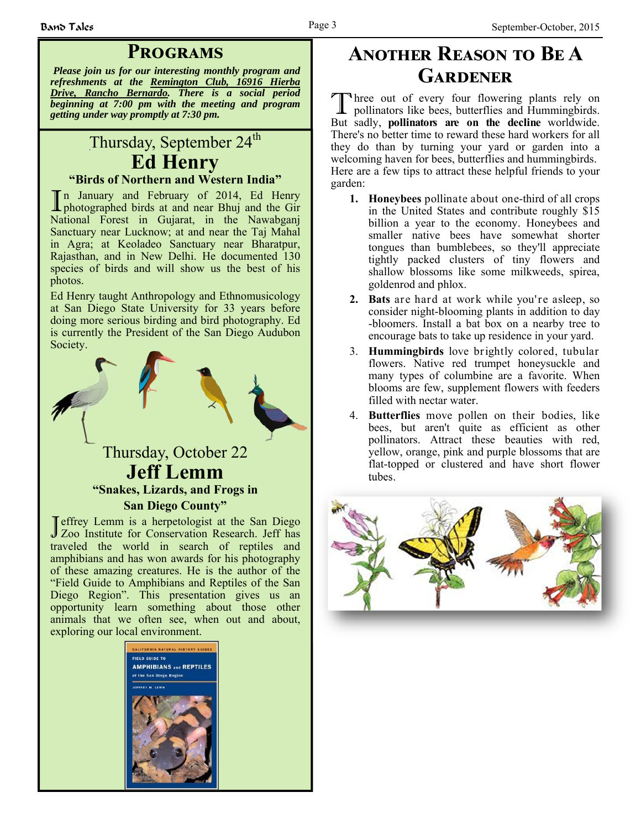### **PROGRAMS**

*Please join us for our interesting monthly program and refreshments at the Remington Club, 16916 Hierba Drive, Rancho Bernardo. There is a social period beginning at 7:00 pm with the meeting and program getting under way promptly at 7:30 pm.*

### Thursday, September 24<sup>th</sup> **Ed Henry "Birds of Northern and Western India"**

In January and February of 2014, Ed Henry photographed birds at and near Bhuj and the Gir National Forest in Gujarat, in the Nawabganj Sanctuary near Lucknow; at and near the Taj Mahal in Agra; at Keoladeo Sanctuary near Bharatpur, Rajasthan, and in New Delhi. He documented 130 species of birds and will show us the best of his photos.

Ed Henry taught Anthropology and Ethnomusicology at San Diego State University for 33 years before doing more serious birding and bird photography. Ed is currently the President of the San Diego Audubon Society.



### **Jeff Lemm "Snakes, Lizards, and Frogs in San Diego County"**

Jeffrey Lemm is a herpetologist at the San Diego<br>
Zoo Institute for Conservation Research. Jeff has traveled the world in search of reptiles and amphibians and has won awards for his photography of these amazing creatures. He is the author of the "Field Guide to Amphibians and Reptiles of the San Diego Region". This presentation gives us an opportunity learn something about those other animals that we often see, when out and about, exploring our local environment.



# **ANOTHER REASON TO BE A** GARDENER

Three out of every four flowering plants rely on pollinators like bees, butterflies and Hummingbirds. But sadly, **pollinators are on the decline** worldwide. There's no better time to reward these hard workers for all they do than by turning your yard or garden into a welcoming haven for bees, butterflies and hummingbirds. Here are a few tips to attract these helpful friends to your garden:

- **1. Honeybees** pollinate about one-third of all crops in the United States and contribute roughly \$15 billion a year to the economy. Honeybees and smaller native bees have somewhat shorter tongues than bumblebees, so they'll appreciate tightly packed clusters of tiny flowers and shallow blossoms like some milkweeds, spirea, goldenrod and phlox.
- **2. Bats** are hard at work while you're asleep, so consider night-blooming plants in addition to day -bloomers. Install a bat box on a nearby tree to encourage bats to take up residence in your yard.
- 3. **Hummingbirds** love brightly colored, tubular flowers. Native red trumpet honeysuckle and many types of columbine are a favorite. When blooms are few, supplement flowers with feeders filled with nectar water.
- 4. **Butterflies** move pollen on their bodies, like bees, but aren't quite as efficient as other pollinators. Attract these beauties with red, yellow, orange, pink and purple blossoms that are flat-topped or clustered and have short flower tubes.

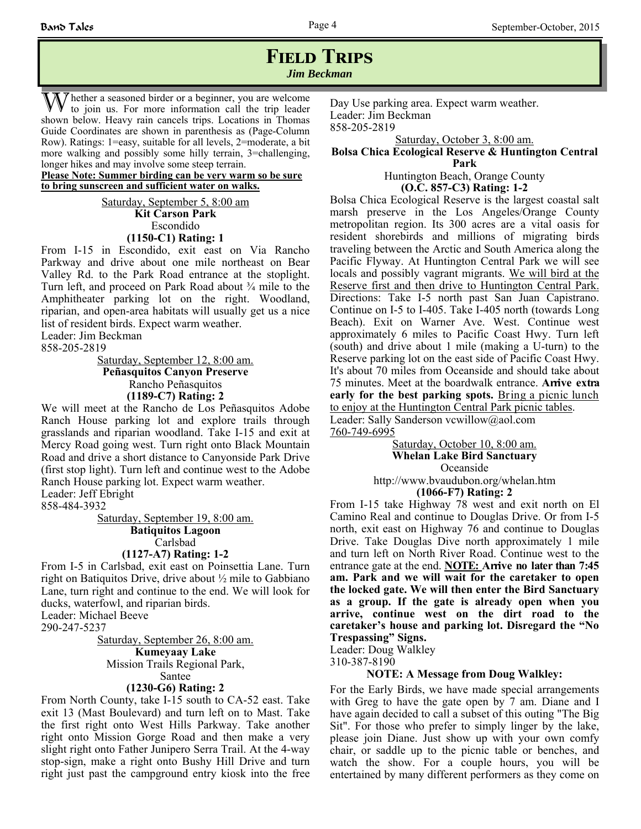### **FIELD TRIPS** *Jim Beckman*

 $\gamma$  hether a seasoned birder or a beginner, you are welcome to join us. For more information call the trip leader shown below. Heavy rain cancels trips. Locations in Thomas Guide Coordinates are shown in parenthesis as (Page-Column Row). Ratings: 1=easy, suitable for all levels, 2=moderate, a bit more walking and possibly some hilly terrain, 3=challenging, longer hikes and may involve some steep terrain.

**Please Note: Summer birding can be very warm so be sure to bring sunscreen and sufficient water on walks.**

> Saturday, September 5, 8:00 am **Kit Carson Park** Escondido **(1150-C1) Rating: 1**

From I-15 in Escondido, exit east on Via Rancho Parkway and drive about one mile northeast on Bear Valley Rd. to the Park Road entrance at the stoplight. Turn left, and proceed on Park Road about ¾ mile to the Amphitheater parking lot on the right. Woodland, riparian, and open-area habitats will usually get us a nice list of resident birds. Expect warm weather.

Leader: Jim Beckman

858-205-2819

Saturday, September 12, 8:00 am.

**Peñasquitos Canyon Preserve** Rancho Peñasquitos **(1189-C7) Rating: 2**

We will meet at the Rancho de Los Peñasquitos Adobe Ranch House parking lot and explore trails through grasslands and riparian woodland. Take I-15 and exit at Mercy Road going west. Turn right onto Black Mountain Road and drive a short distance to Canyonside Park Drive (first stop light). Turn left and continue west to the Adobe Ranch House parking lot. Expect warm weather. Leader: Jeff Ebright

858-484-3932

Saturday, September 19, 8:00 am. **Batiquitos Lagoon**  Carlsbad **(1127-A7) Rating: 1-2**

From I-5 in Carlsbad, exit east on Poinsettia Lane. Turn right on Batiquitos Drive, drive about ½ mile to Gabbiano Lane, turn right and continue to the end. We will look for ducks, waterfowl, and riparian birds. Leader: Michael Beeve

290-247-5237

Saturday, September 26, 8:00 am. **Kumeyaay Lake** Mission Trails Regional Park, Santee **(1230-G6) Rating: 2**

From North County, take I-15 south to CA-52 east. Take exit 13 (Mast Boulevard) and turn left on to Mast. Take the first right onto West Hills Parkway. Take another right onto Mission Gorge Road and then make a very slight right onto Father Junipero Serra Trail. At the 4-way stop-sign, make a right onto Bushy Hill Drive and turn right just past the campground entry kiosk into the free Day Use parking area. Expect warm weather. Leader: Jim Beckman 858-205-2819

Saturday, October 3, 8:00 am.

#### **Bolsa Chica Ecological Reserve & Huntington Central Park**

Huntington Beach, Orange County **(O.C. 857-C3) Rating: 1-2**

Bolsa Chica Ecological Reserve is the largest coastal salt marsh preserve in the Los Angeles/Orange County metropolitan region. Its 300 acres are a vital oasis for resident shorebirds and millions of migrating birds traveling between the Arctic and South America along the Pacific Flyway. At Huntington Central Park we will see locals and possibly vagrant migrants. We will bird at the Reserve first and then drive to Huntington Central Park. Directions: Take I-5 north past San Juan Capistrano. Continue on I-5 to I-405. Take I-405 north (towards Long Beach). Exit on Warner Ave. West. Continue west approximately 6 miles to Pacific Coast Hwy. Turn left (south) and drive about 1 mile (making a U-turn) to the Reserve parking lot on the east side of Pacific Coast Hwy. It's about 70 miles from Oceanside and should take about 75 minutes. Meet at the boardwalk entrance. **Arrive extra early for the best parking spots.** Bring a picnic lunch to enjoy at the Huntington Central Park picnic tables. Leader: Sally Sanderson vcwillow@aol.com

760-749-6995

Saturday, October 10, 8:00 am. **Whelan Lake Bird Sanctuary** Oceanside http://www.bvaudubon.org/whelan.htm

**(1066-F7) Rating: 2**

From I-15 take Highway 78 west and exit north on El Camino Real and continue to Douglas Drive. Or from I-5 north, exit east on Highway 76 and continue to Douglas Drive. Take Douglas Dive north approximately 1 mile and turn left on North River Road. Continue west to the entrance gate at the end. **NOTE: Arrive no later than 7:45 am. Park and we will wait for the caretaker to open the locked gate. We will then enter the Bird Sanctuary as a group. If the gate is already open when you arrive, continue west on the dirt road to the caretaker's house and parking lot. Disregard the "No Trespassing" Signs.**

Leader: Doug Walkley

310-387-8190

#### **NOTE: A Message from Doug Walkley:**

For the Early Birds, we have made special arrangements with Greg to have the gate open by 7 am. Diane and I have again decided to call a subset of this outing "The Big Sit". For those who prefer to simply linger by the lake, please join Diane. Just show up with your own comfy chair, or saddle up to the picnic table or benches, and watch the show. For a couple hours, you will be entertained by many different performers as they come on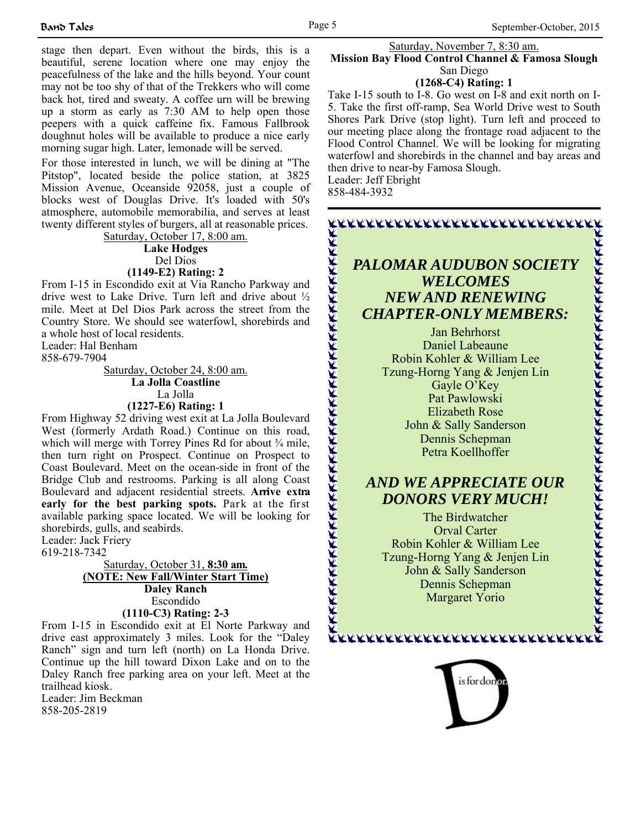stage then depart. Even without the birds, this is a beautiful, serene location where one may enjoy the peacefulness of the lake and the hills beyond. Your count may not be too shy of that of the Trekkers who will come back hot, tired and sweaty. A coffee urn will be brewing up a storm as early as 7:30 AM to help open those peepers with a quick caffeine fix. Famous Fallbrook doughnut holes will be available to produce a nice early morning sugar high. Later, lemonade will be served.

For those interested in lunch, we will be dining at "The Pitstop", located beside the police station, at 3825 Mission Avenue, Oceanside 92058, just a couple of blocks west of Douglas Drive. It's loaded with 50's atmosphere, automobile memorabilia, and serves at least twenty different styles of burgers, all at reasonable prices.

Saturday, October 17, 8:00 am. **Lake Hodges** Del Dios **(1149-E2) Rating: 2**

From I-15 in Escondido exit at Via Rancho Parkway and drive west to Lake Drive. Turn left and drive about ½ mile. Meet at Del Dios Park across the street from the Country Store. We should see waterfowl, shorebirds and a whole host of local residents.

Leader: Hal Benham 858-679-7904

Saturday, October 24, 8:00 am. **La Jolla Coastline** La Jolla **(1227-E6) Rating: 1**

From Highway 52 driving west exit at La Jolla Boulevard West (formerly Ardath Road.) Continue on this road, which will merge with Torrey Pines Rd for about 3/4 mile, then turn right on Prospect. Continue on Prospect to Coast Boulevard. Meet on the ocean-side in front of the Bridge Club and restrooms. Parking is all along Coast Boulevard and adjacent residential streets. **Arrive extra early for the best parking spots.** Park at the first available parking space located. We will be looking for shorebirds, gulls, and seabirds.

Leader: Jack Friery

619-218-7342

#### Saturday, October 31, **8:30 am. (NOTE: New Fall/Winter Start Time) Daley Ranch** Escondido **(1110-C3) Rating: 2-3**

From I-15 in Escondido exit at El Norte Parkway and drive east approximately 3 miles. Look for the "Daley Ranch" sign and turn left (north) on La Honda Drive. Continue up the hill toward Dixon Lake and on to the Daley Ranch free parking area on your left. Meet at the trailhead kiosk.

Leader: Jim Beckman 858-205-2819

#### Saturday, November 7, 8:30 am. **Mission Bay Flood Control Channel & Famosa Slough**  San Diego

**(1268-C4) Rating: 1**

Take I-15 south to I-8. Go west on I-8 and exit north on I-5. Take the first off-ramp, Sea World Drive west to South Shores Park Drive (stop light). Turn left and proceed to our meeting place along the frontage road adjacent to the Flood Control Channel. We will be looking for migrating waterfowl and shorebirds in the channel and bay areas and then drive to near-by Famosa Slough. Leader: Jeff Ebright

858-484-3932

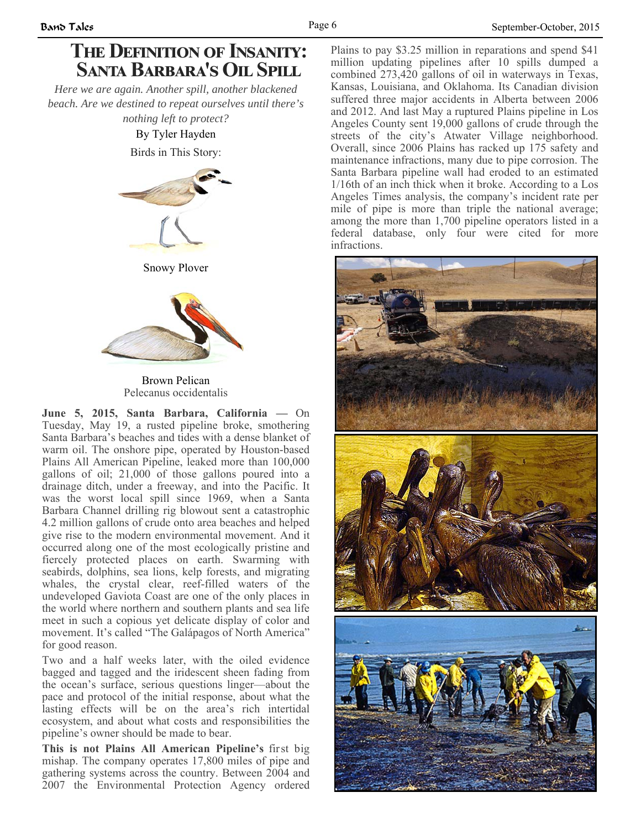# **THE DEFINITION OF INSANITY: SANTA BARBARA'S OIL SPILL**

*Here we are again. Another spill, another blackened beach. Are we destined to repeat ourselves until there's nothing left to protect?* 

By Tyler Hayden Birds in This Story:



Snowy Plover



Brown Pelican Pelecanus occidentalis

**June 5, 2015, Santa Barbara, California —** On Tuesday, May 19, a rusted pipeline broke, smothering Santa Barbara's beaches and tides with a dense blanket of warm oil. The onshore pipe, operated by Houston-based Plains All American Pipeline, leaked more than 100,000 gallons of oil; 21,000 of those gallons poured into a drainage ditch, under a freeway, and into the Pacific. It was the worst local spill since 1969, when a Santa Barbara Channel drilling rig blowout sent a catastrophic 4.2 million gallons of crude onto area beaches and helped give rise to the modern environmental movement. And it occurred along one of the most ecologically pristine and fiercely protected places on earth. Swarming with seabirds, dolphins, sea lions, kelp forests, and migrating whales, the crystal clear, reef-filled waters of the undeveloped Gaviota Coast are one of the only places in the world where northern and southern plants and sea life meet in such a copious yet delicate display of color and movement. It's called "The Galápagos of North America" for good reason.

Two and a half weeks later, with the oiled evidence bagged and tagged and the iridescent sheen fading from the ocean's surface, serious questions linger—about the pace and protocol of the initial response, about what the lasting effects will be on the area's rich intertidal ecosystem, and about what costs and responsibilities the pipeline's owner should be made to bear.

**This is not Plains All American Pipeline's** first big mishap. The company operates 17,800 miles of pipe and gathering systems across the country. Between 2004 and 2007 the Environmental Protection Agency ordered Plains to pay \$3.25 million in reparations and spend \$41 million updating pipelines after 10 spills dumped a combined 273,420 gallons of oil in waterways in Texas, Kansas, Louisiana, and Oklahoma. Its Canadian division suffered three major accidents in Alberta between 2006 and 2012. And last May a ruptured Plains pipeline in Los Angeles County sent 19,000 gallons of crude through the streets of the city's Atwater Village neighborhood. Overall, since 2006 Plains has racked up 175 safety and maintenance infractions, many due to pipe corrosion. The Santa Barbara pipeline wall had eroded to an estimated 1/16th of an inch thick when it broke. According to a Los Angeles Times analysis, the company's incident rate per mile of pipe is more than triple the national average; among the more than 1,700 pipeline operators listed in a federal database, only four were cited for more infractions.

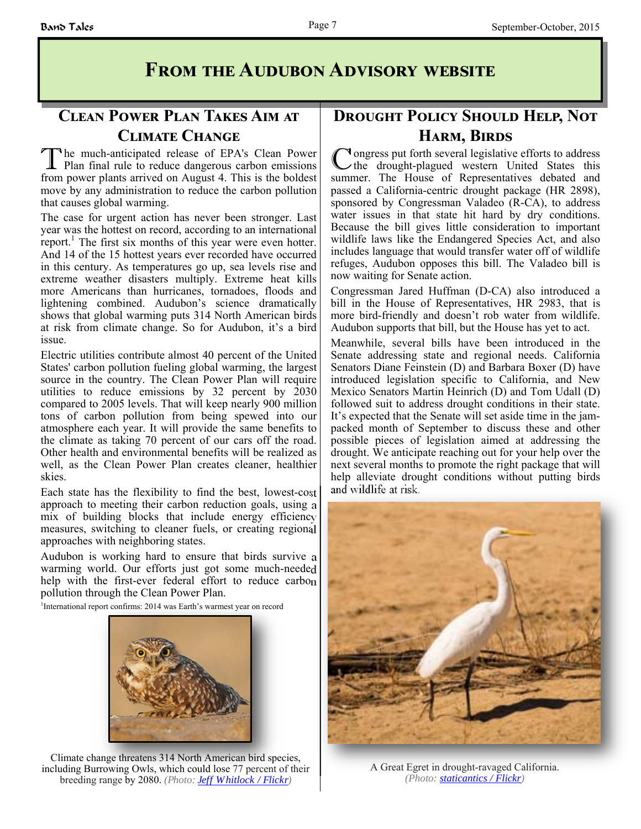# **FROM THE AUDUBON ADVISORY WEBSITE**

### **CLEAN POWER PLAN TAKES AIM AT CLIMATE CHANGE**

The much-anticipated release of EPA's Clean Power<br>Plan final rule to reduce dangerous carbon emissions from power plants arrived on August 4. This is the boldest move by any administration to reduce the carbon pollution that causes global warming.

The case for urgent action has never been stronger. Last year was the hottest on record, according to an international report.<sup>1</sup> The first six months of this year were even hotter. And 14 of the 15 hottest years ever recorded have occurred in this century. As temperatures go up, sea levels rise and extreme weather disasters multiply. Extreme heat kills more Americans than hurricanes, tornadoes, floods and lightening combined. Audubon's science dramatically shows that global warming puts 314 North American birds at risk from climate change. So for Audubon, it's a bird issue.

Electric utilities contribute almost 40 percent of the United States' carbon pollution fueling global warming, the largest source in the country. The Clean Power Plan will require utilities to reduce emissions by 32 percent by 2030 compared to 2005 levels. That will keep nearly 900 million tons of carbon pollution from being spewed into our atmosphere each year. It will provide the same benefits to the climate as taking 70 percent of our cars off the road. Other health and environmental benefits will be realized as well, as the Clean Power Plan creates cleaner, healthier skies.

Each state has the flexibility to find the best, lowest-cost approach to meeting their carbon reduction goals, using a mix of building blocks that include energy efficiency measures, switching to cleaner fuels, or creating regional approaches with neighboring states.

Audubon is working hard to ensure that birds survive a warming world. Our efforts just got some much-needed help with the first-ever federal effort to reduce carbon pollution through the Clean Power Plan.

<sup>1</sup>International report confirms: 2014 was Earth's warmest year on record



Climate change threatens 314 North American bird species, including Burrowing Owls, which could lose 77 percent of their breeding range by 2080. *(Photo: Jeff Whitlock / Flickr)*

### **DROUGHT POLICY SHOULD HELP, NOT HARM, BIRDS**

Congress put forth several legislative efforts to address<br>the drought-plagued western United States this summer. The House of Representatives debated and passed a California-centric drought package (HR 2898), sponsored by Congressman Valadeo (R-CA), to address water issues in that state hit hard by dry conditions. Because the bill gives little consideration to important wildlife laws like the Endangered Species Act, and also includes language that would transfer water off of wildlife refuges, Audubon opposes this bill. The Valadeo bill is now waiting for Senate action.

Congressman Jared Huffman (D-CA) also introduced a bill in the House of Representatives, HR 2983, that is more bird-friendly and doesn't rob water from wildlife. Audubon supports that bill, but the House has yet to act.

Meanwhile, several bills have been introduced in the Senate addressing state and regional needs. California Senators Diane Feinstein (D) and Barbara Boxer (D) have introduced legislation specific to California, and New Mexico Senators Martin Heinrich (D) and Tom Udall (D) followed suit to address drought conditions in their state. It's expected that the Senate will set aside time in the jampacked month of September to discuss these and other possible pieces of legislation aimed at addressing the drought. We anticipate reaching out for your help over the next several months to promote the right package that will help alleviate drought conditions without putting birds and wildlife at risk.



A Great Egret in drought-ravaged California. *(Photo: staticantics / Flickr)*